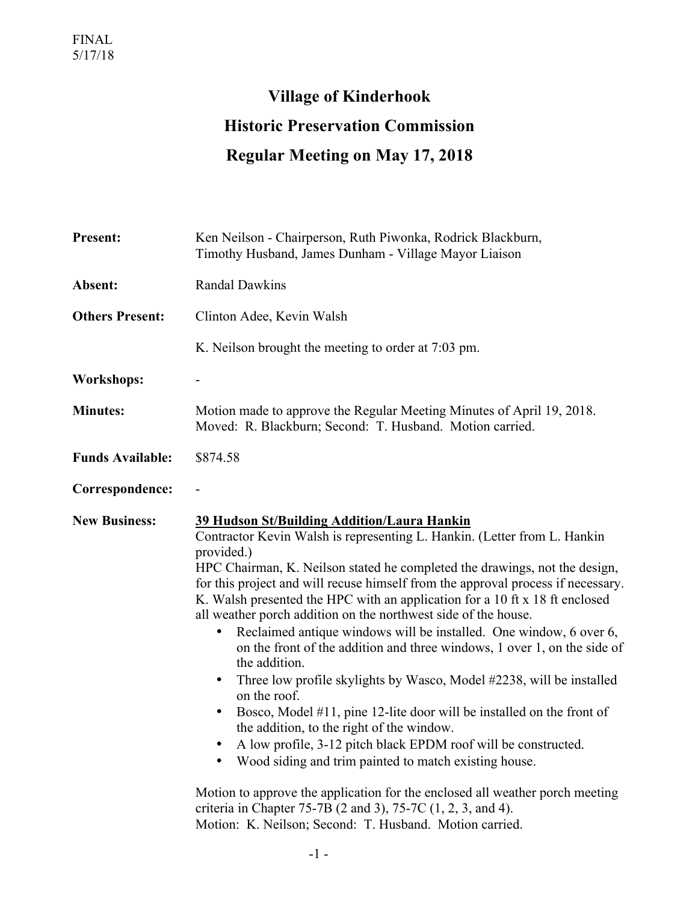## **Village of Kinderhook Historic Preservation Commission Regular Meeting on May 17, 2018**

| <b>Present:</b>         | Ken Neilson - Chairperson, Ruth Piwonka, Rodrick Blackburn,<br>Timothy Husband, James Dunham - Village Mayor Liaison                                                                                                                                                                                                                                                                                                                                                                                                                                                                                                                                                                                                                                                                                                                                                                                                                                                                                                                                                                                                                                                                                        |
|-------------------------|-------------------------------------------------------------------------------------------------------------------------------------------------------------------------------------------------------------------------------------------------------------------------------------------------------------------------------------------------------------------------------------------------------------------------------------------------------------------------------------------------------------------------------------------------------------------------------------------------------------------------------------------------------------------------------------------------------------------------------------------------------------------------------------------------------------------------------------------------------------------------------------------------------------------------------------------------------------------------------------------------------------------------------------------------------------------------------------------------------------------------------------------------------------------------------------------------------------|
| Absent:                 | <b>Randal Dawkins</b>                                                                                                                                                                                                                                                                                                                                                                                                                                                                                                                                                                                                                                                                                                                                                                                                                                                                                                                                                                                                                                                                                                                                                                                       |
| <b>Others Present:</b>  | Clinton Adee, Kevin Walsh                                                                                                                                                                                                                                                                                                                                                                                                                                                                                                                                                                                                                                                                                                                                                                                                                                                                                                                                                                                                                                                                                                                                                                                   |
|                         | K. Neilson brought the meeting to order at 7:03 pm.                                                                                                                                                                                                                                                                                                                                                                                                                                                                                                                                                                                                                                                                                                                                                                                                                                                                                                                                                                                                                                                                                                                                                         |
| <b>Workshops:</b>       |                                                                                                                                                                                                                                                                                                                                                                                                                                                                                                                                                                                                                                                                                                                                                                                                                                                                                                                                                                                                                                                                                                                                                                                                             |
| <b>Minutes:</b>         | Motion made to approve the Regular Meeting Minutes of April 19, 2018.<br>Moved: R. Blackburn; Second: T. Husband. Motion carried.                                                                                                                                                                                                                                                                                                                                                                                                                                                                                                                                                                                                                                                                                                                                                                                                                                                                                                                                                                                                                                                                           |
| <b>Funds Available:</b> | \$874.58                                                                                                                                                                                                                                                                                                                                                                                                                                                                                                                                                                                                                                                                                                                                                                                                                                                                                                                                                                                                                                                                                                                                                                                                    |
| Correspondence:         |                                                                                                                                                                                                                                                                                                                                                                                                                                                                                                                                                                                                                                                                                                                                                                                                                                                                                                                                                                                                                                                                                                                                                                                                             |
| <b>New Business:</b>    | 39 Hudson St/Building Addition/Laura Hankin<br>Contractor Kevin Walsh is representing L. Hankin. (Letter from L. Hankin<br>provided.)<br>HPC Chairman, K. Neilson stated he completed the drawings, not the design,<br>for this project and will recuse himself from the approval process if necessary.<br>K. Walsh presented the HPC with an application for a 10 ft x 18 ft enclosed<br>all weather porch addition on the northwest side of the house.<br>Reclaimed antique windows will be installed. One window, 6 over 6,<br>$\bullet$<br>on the front of the addition and three windows, 1 over 1, on the side of<br>the addition.<br>Three low profile skylights by Wasco, Model #2238, will be installed<br>$\bullet$<br>on the roof.<br>Bosco, Model #11, pine 12-lite door will be installed on the front of<br>the addition, to the right of the window.<br>A low profile, 3-12 pitch black EPDM roof will be constructed.<br>Wood siding and trim painted to match existing house.<br>Motion to approve the application for the enclosed all weather porch meeting<br>criteria in Chapter 75-7B (2 and 3), 75-7C $(1, 2, 3,$ and 4).<br>Motion: K. Neilson; Second: T. Husband. Motion carried. |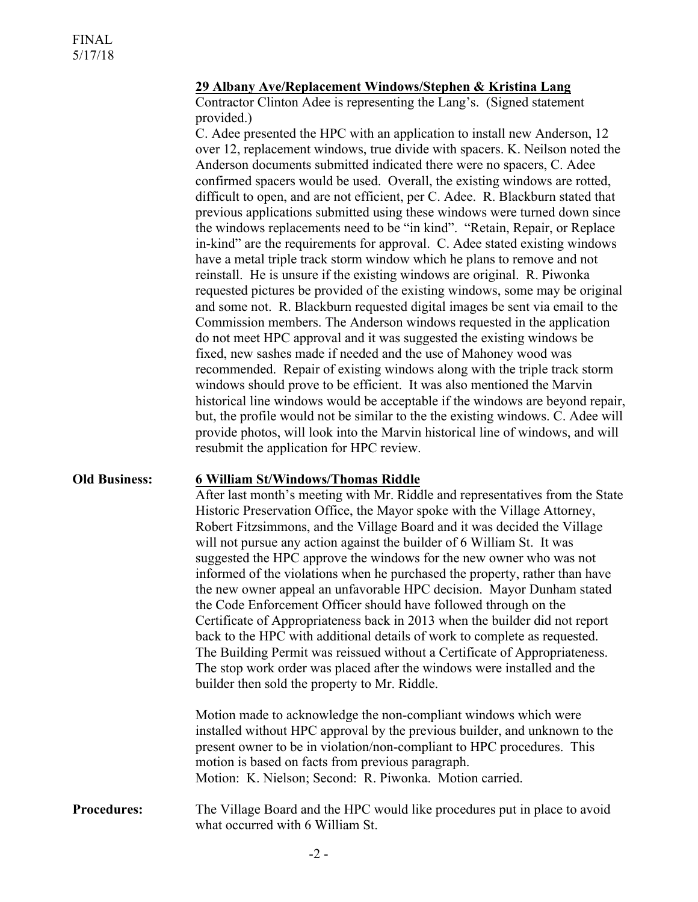## **29 Albany Ave/Replacement Windows/Stephen & Kristina Lang**

Contractor Clinton Adee is representing the Lang's. (Signed statement provided.)

C. Adee presented the HPC with an application to install new Anderson, 12 over 12, replacement windows, true divide with spacers. K. Neilson noted the Anderson documents submitted indicated there were no spacers, C. Adee confirmed spacers would be used. Overall, the existing windows are rotted, difficult to open, and are not efficient, per C. Adee. R. Blackburn stated that previous applications submitted using these windows were turned down since the windows replacements need to be "in kind". "Retain, Repair, or Replace in-kind" are the requirements for approval. C. Adee stated existing windows have a metal triple track storm window which he plans to remove and not reinstall. He is unsure if the existing windows are original. R. Piwonka requested pictures be provided of the existing windows, some may be original and some not. R. Blackburn requested digital images be sent via email to the Commission members. The Anderson windows requested in the application do not meet HPC approval and it was suggested the existing windows be fixed, new sashes made if needed and the use of Mahoney wood was recommended. Repair of existing windows along with the triple track storm windows should prove to be efficient. It was also mentioned the Marvin historical line windows would be acceptable if the windows are beyond repair, but, the profile would not be similar to the the existing windows. C. Adee will provide photos, will look into the Marvin historical line of windows, and will resubmit the application for HPC review.

## **Old Business: 6 William St/Windows/Thomas Riddle**

After last month's meeting with Mr. Riddle and representatives from the State Historic Preservation Office, the Mayor spoke with the Village Attorney, Robert Fitzsimmons, and the Village Board and it was decided the Village will not pursue any action against the builder of 6 William St. It was suggested the HPC approve the windows for the new owner who was not informed of the violations when he purchased the property, rather than have the new owner appeal an unfavorable HPC decision. Mayor Dunham stated the Code Enforcement Officer should have followed through on the Certificate of Appropriateness back in 2013 when the builder did not report back to the HPC with additional details of work to complete as requested. The Building Permit was reissued without a Certificate of Appropriateness. The stop work order was placed after the windows were installed and the builder then sold the property to Mr. Riddle.

Motion made to acknowledge the non-compliant windows which were installed without HPC approval by the previous builder, and unknown to the present owner to be in violation/non-compliant to HPC procedures. This motion is based on facts from previous paragraph. Motion: K. Nielson; Second: R. Piwonka. Motion carried.

**Procedures:** The Village Board and the HPC would like procedures put in place to avoid what occurred with 6 William St.